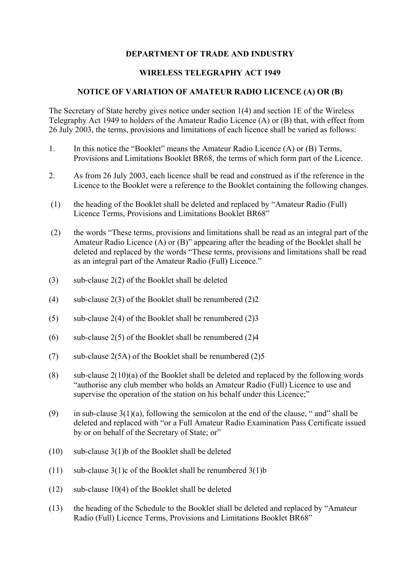## **DEPARTMENT OF TRADE AND INDUSTRY**

## **WIRELESS TELEGRAPHY ACT 1949**

## **NOTICE OF VARIATION OF AMATEUR RADIO LICENCE (A) OR (B)**

The Secretary of State hereby gives notice under section 1(4) and section 1E of the Wireless Telegraphy Act 1949 to holders of the Amateur Radio Licence (A) or (B) that, with effect from 26 July 2003, the terms, provisions and limitations of each licence shall be varied as follows:

- 1. In this notice the "Booklet" means the Amateur Radio Licence (A) or (B) Terms, Provisions and Limitations Booklet BR68, the terms of which form part of the Licence.
- 2. As from 26 July 2003, each licence shall be read and construed as if the reference in the Licence to the Booklet were a reference to the Booklet containing the following changes.
- (1) the heading of the Booklet shall be deleted and replaced by "Amateur Radio (Full) Licence Terms, Provisions and Limitations Booklet BR68"
- (2) the words "These terms, provisions and limitations shall be read as an integral part of the Amateur Radio Licence (A) or (B)" appearing after the heading of the Booklet shall be deleted and replaced by the words "These terms, provisions and limitations shall be read as an integral part of the Amateur Radio (Full) Licence."
- (3) sub-clause  $2(2)$  of the Booklet shall be deleted
- (4) sub-clause  $2(3)$  of the Booklet shall be renumbered  $(2)2$
- (5) sub-clause 2(4) of the Booklet shall be renumbered  $(2)$ 3
- (6) sub-clause  $2(5)$  of the Booklet shall be renumbered  $(2)4$
- (7) sub-clause  $2(5A)$  of the Booklet shall be renumbered  $(2)5$
- (8) sub-clause  $2(10)(a)$  of the Booklet shall be deleted and replaced by the following words "authorise any club member who holds an Amateur Radio (Full) Licence to use and supervise the operation of the station on his behalf under this Licence;"
- (9) in sub-clause  $3(1)(a)$ , following the semicolon at the end of the clause, " and" shall be deleted and replaced with "or a Full Amateur Radio Examination Pass Certificate issued by or on behalf of the Secretary of State; or"
- (10) sub-clause  $3(1)$ b of the Booklet shall be deleted
- (11) sub-clause  $3(1)c$  of the Booklet shall be renumbered  $3(1)b$
- (12) sub-clause 10(4) of the Booklet shall be deleted
- (13) the heading of the Schedule to the Booklet shall be deleted and replaced by "Amateur Radio (Full) Licence Terms, Provisions and Limitations Booklet BR68"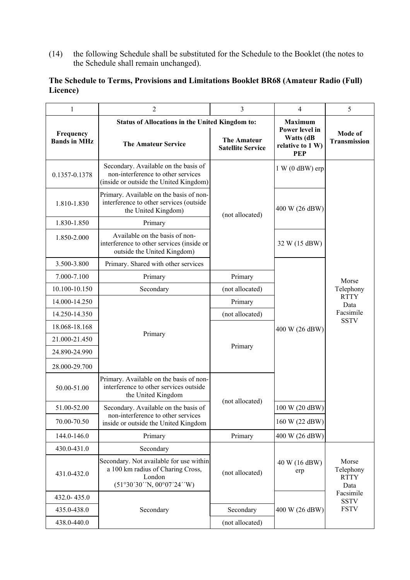(14) the following Schedule shall be substituted for the Schedule to the Booklet (the notes to the Schedule shall remain unchanged).

## **The Schedule to Terms, Provisions and Limitations Booklet BR68 (Amateur Radio (Full) Licence)**

| $\mathbf{1}$                     | 2                                                                                                                    | 3                                              | $\overline{4}$                                                       | 5                                                                     |
|----------------------------------|----------------------------------------------------------------------------------------------------------------------|------------------------------------------------|----------------------------------------------------------------------|-----------------------------------------------------------------------|
|                                  | Status of Allocations in the United Kingdom to:                                                                      |                                                | <b>Maximum</b>                                                       |                                                                       |
| Frequency<br><b>Bands in MHz</b> | <b>The Amateur Service</b>                                                                                           | <b>The Amateur</b><br><b>Satellite Service</b> | <b>Power level in</b><br>Watts (dB<br>relative to 1 W)<br><b>PEP</b> | Mode of<br>Transmission                                               |
| 0.1357-0.1378                    | Secondary. Available on the basis of<br>non-interference to other services<br>(inside or outside the United Kingdom) | (not allocated)                                | $1 W (0 dBW)$ erp                                                    |                                                                       |
| 1.810-1.830                      | Primary. Available on the basis of non-<br>interference to other services (outside<br>the United Kingdom)            |                                                | 400 W (26 dBW)                                                       |                                                                       |
| 1.830-1.850                      | Primary                                                                                                              |                                                |                                                                      | Morse<br>Telephony<br><b>RTTY</b><br>Data<br>Facsimile<br><b>SSTV</b> |
| 1.850-2.000                      | Available on the basis of non-<br>interference to other services (inside or<br>outside the United Kingdom)           |                                                | 32 W (15 dBW)                                                        |                                                                       |
| 3.500-3.800                      | Primary. Shared with other services                                                                                  |                                                |                                                                      |                                                                       |
| 7.000-7.100                      | Primary                                                                                                              | Primary                                        |                                                                      |                                                                       |
| 10.100-10.150                    | Secondary                                                                                                            | (not allocated)                                | 400 W (26 dBW)                                                       |                                                                       |
| 14.000-14.250                    |                                                                                                                      | Primary                                        |                                                                      |                                                                       |
| 14.250-14.350                    |                                                                                                                      | (not allocated)                                |                                                                      |                                                                       |
| 18.068-18.168                    |                                                                                                                      | Primary                                        |                                                                      |                                                                       |
| 21.000-21.450                    | Primary                                                                                                              |                                                |                                                                      |                                                                       |
| 24.890-24.990                    |                                                                                                                      |                                                |                                                                      |                                                                       |
| 28.000-29.700                    |                                                                                                                      |                                                |                                                                      |                                                                       |
| 50.00-51.00                      | Primary. Available on the basis of non-<br>interference to other services outside<br>the United Kingdom              | (not allocated)                                |                                                                      |                                                                       |
| 51.00-52.00                      | Secondary. Available on the basis of                                                                                 |                                                | 100 W (20 dBW)                                                       |                                                                       |
| 70.00-70.50                      | non-interference to other services<br>inside or outside the United Kingdom                                           |                                                | 160 W (22 dBW)                                                       |                                                                       |
| 144.0-146.0                      | Primary                                                                                                              | Primary                                        | 400 W (26 dBW)                                                       |                                                                       |
| 430.0-431.0                      | Secondary                                                                                                            |                                                |                                                                      |                                                                       |
| 431.0-432.0                      | Secondary. Not available for use within<br>a 100 km radius of Charing Cross,<br>London<br>(51°30'30' N, 00°07'24' W) | (not allocated)                                | 40 W (16 dBW)<br>erp                                                 | Morse<br>Telephony<br><b>RTTY</b><br>Data                             |
| 432.0-435.0                      |                                                                                                                      | Secondary<br>(not allocated)                   |                                                                      | Facsimile<br><b>SSTV</b>                                              |
| 435.0-438.0                      | Secondary                                                                                                            |                                                | 400 W (26 dBW)                                                       | <b>FSTV</b>                                                           |
| 438.0-440.0                      |                                                                                                                      |                                                |                                                                      |                                                                       |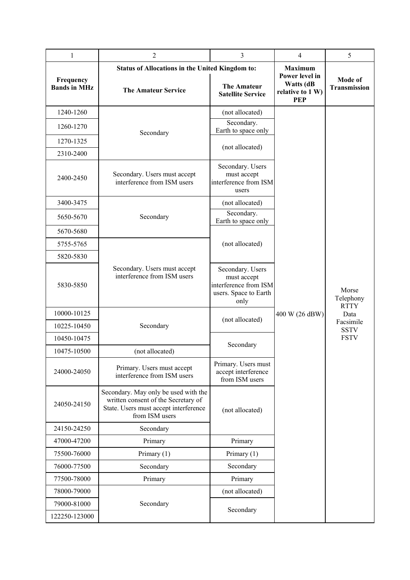| $\mathbf{1}$                     | $\overline{c}$                                                                                                                         | $\overline{3}$                                                                            | 4                                                             | 5                        |
|----------------------------------|----------------------------------------------------------------------------------------------------------------------------------------|-------------------------------------------------------------------------------------------|---------------------------------------------------------------|--------------------------|
|                                  | <b>Status of Allocations in the United Kingdom to:</b>                                                                                 |                                                                                           | <b>Maximum</b>                                                |                          |
| Frequency<br><b>Bands in MHz</b> | <b>The Amateur Service</b>                                                                                                             | <b>The Amateur</b><br><b>Satellite Service</b>                                            | Power level in<br>Watts (dB<br>relative to 1 W)<br><b>PEP</b> | Mode of<br>Transmission  |
| 1240-1260                        |                                                                                                                                        | (not allocated)                                                                           |                                                               |                          |
| 1260-1270                        | Secondary                                                                                                                              | Secondary.<br>Earth to space only                                                         |                                                               |                          |
| 1270-1325                        |                                                                                                                                        | (not allocated)                                                                           |                                                               |                          |
| 2310-2400                        |                                                                                                                                        |                                                                                           |                                                               |                          |
| 2400-2450                        | Secondary. Users must accept<br>interference from ISM users                                                                            | Secondary. Users<br>must accept<br>interference from ISM<br>users                         |                                                               |                          |
| 3400-3475                        |                                                                                                                                        | (not allocated)                                                                           |                                                               |                          |
| 5650-5670                        | Secondary                                                                                                                              | Secondary.<br>Earth to space only                                                         |                                                               |                          |
| 5670-5680                        |                                                                                                                                        |                                                                                           |                                                               |                          |
| 5755-5765                        |                                                                                                                                        | (not allocated)                                                                           |                                                               |                          |
| 5820-5830                        |                                                                                                                                        |                                                                                           |                                                               |                          |
| 5830-5850                        | Secondary. Users must accept<br>interference from ISM users                                                                            | Secondary. Users<br>must accept<br>interference from ISM<br>users. Space to Earth<br>only |                                                               | Morse<br>Telephony       |
| 10000-10125                      |                                                                                                                                        |                                                                                           | 400 W (26 dBW)                                                | <b>RTTY</b><br>Data      |
| 10225-10450                      | Secondary                                                                                                                              | (not allocated)                                                                           |                                                               | Facsimile<br><b>SSTV</b> |
| 10450-10475                      |                                                                                                                                        |                                                                                           |                                                               | <b>FSTV</b>              |
| 10475-10500                      | (not allocated)                                                                                                                        | Secondary                                                                                 |                                                               |                          |
| 24000-24050                      | Primary. Users must accept<br>interference from ISM users                                                                              | Primary. Users must<br>accept interference<br>from ISM users                              |                                                               |                          |
| 24050-24150                      | Secondary. May only be used with the<br>written consent of the Secretary of<br>State. Users must accept interference<br>from ISM users | (not allocated)                                                                           |                                                               |                          |
| 24150-24250                      | Secondary                                                                                                                              |                                                                                           |                                                               |                          |
| 47000-47200                      | Primary                                                                                                                                | Primary                                                                                   |                                                               |                          |
| 75500-76000                      | Primary $(1)$                                                                                                                          | Primary $(1)$                                                                             |                                                               |                          |
| 76000-77500                      | Secondary                                                                                                                              | Secondary                                                                                 |                                                               |                          |
| 77500-78000                      | Primary                                                                                                                                | Primary                                                                                   |                                                               |                          |
| 78000-79000                      |                                                                                                                                        | (not allocated)                                                                           |                                                               |                          |
| 79000-81000                      | Secondary                                                                                                                              | Secondary                                                                                 |                                                               |                          |
| 122250-123000                    |                                                                                                                                        |                                                                                           |                                                               |                          |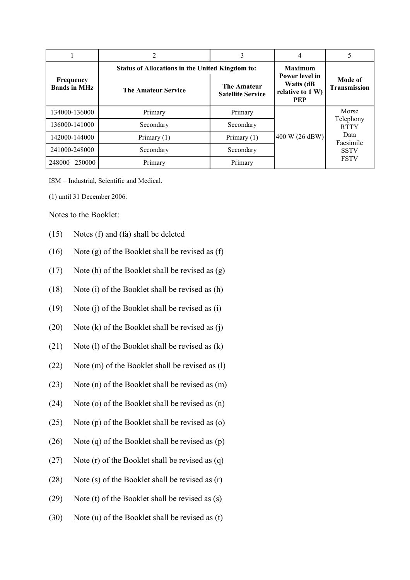|                                  | <b>Status of Allocations in the United Kingdom to:</b> |                                                | <b>Maximum</b>                                                |                                                        |
|----------------------------------|--------------------------------------------------------|------------------------------------------------|---------------------------------------------------------------|--------------------------------------------------------|
| Frequency<br><b>Bands in MHz</b> | <b>The Amateur Service</b>                             | <b>The Amateur</b><br><b>Satellite Service</b> | Power level in<br>Watts (dB<br>relative to 1 W)<br><b>PEP</b> | Mode of<br><b>Transmission</b>                         |
| 134000-136000                    | Primary                                                | Primary                                        | 400 W (26 dBW)                                                | Morse<br>Telephony<br><b>RTTY</b><br>Data<br>Facsimile |
| 136000-141000                    | Secondary                                              | Secondary                                      |                                                               |                                                        |
| 142000-144000                    | Primary $(1)$                                          | Primary $(1)$                                  |                                                               |                                                        |
| 241000-248000                    | Secondary                                              | Secondary                                      |                                                               | <b>SSTV</b>                                            |
| 248000 -250000                   | Primary                                                | Primary                                        |                                                               | <b>FSTV</b>                                            |

ISM = Industrial, Scientific and Medical.

(1) until 31 December 2006.

Notes to the Booklet:

- (15) Notes (f) and (fa) shall be deleted
- (16) Note (g) of the Booklet shall be revised as (f)
- (17) Note (h) of the Booklet shall be revised as (g)
- (18) Note (i) of the Booklet shall be revised as (h)
- (19) Note (j) of the Booklet shall be revised as (i)
- (20) Note  $(k)$  of the Booklet shall be revised as  $(i)$
- (21) Note (l) of the Booklet shall be revised as  $(k)$
- (22) Note (m) of the Booklet shall be revised as (l)
- (23) Note (n) of the Booklet shall be revised as (m)
- (24) Note (o) of the Booklet shall be revised as (n)
- (25) Note (p) of the Booklet shall be revised as (o)
- (26) Note (q) of the Booklet shall be revised as (p)
- (27) Note (r) of the Booklet shall be revised as (q)
- (28) Note (s) of the Booklet shall be revised as (r)
- (29) Note (t) of the Booklet shall be revised as (s)
- (30) Note (u) of the Booklet shall be revised as (t)